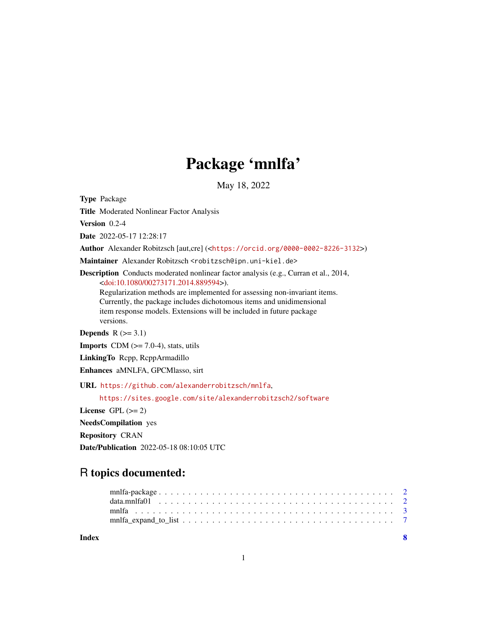## Package 'mnlfa'

May 18, 2022

Type Package

Title Moderated Nonlinear Factor Analysis

Version 0.2-4

Date 2022-05-17 12:28:17

Author Alexander Robitzsch [aut,cre] (<<https://orcid.org/0000-0002-8226-3132>>)

Maintainer Alexander Robitzsch <robitzsch@ipn.uni-kiel.de>

Description Conducts moderated nonlinear factor analysis (e.g., Curran et al., 2014, [<doi:10.1080/00273171.2014.889594>](https://doi.org/10.1080/00273171.2014.889594)).

Regularization methods are implemented for assessing non-invariant items. Currently, the package includes dichotomous items and unidimensional item response models. Extensions will be included in future package versions.

**Depends**  $R$  ( $>= 3.1$ )

**Imports** CDM  $(>= 7.0-4)$ , stats, utils

LinkingTo Rcpp, RcppArmadillo

Enhances aMNLFA, GPCMlasso, sirt

URL <https://github.com/alexanderrobitzsch/mnlfa>,

<https://sites.google.com/site/alexanderrobitzsch2/software>

License GPL  $(>= 2)$ 

NeedsCompilation yes

Repository CRAN

Date/Publication 2022-05-18 08:10:05 UTC

### R topics documented:

| Index | $\overline{\mathbf{S}}$ |
|-------|-------------------------|
|       |                         |
|       |                         |
|       |                         |
|       |                         |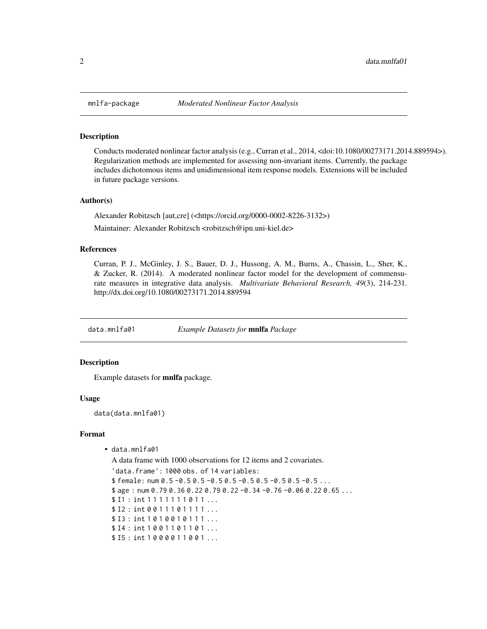<span id="page-1-0"></span>

#### **Description**

Conducts moderated nonlinear factor analysis (e.g., Curran et al., 2014, <doi:10.1080/00273171.2014.889594>). Regularization methods are implemented for assessing non-invariant items. Currently, the package includes dichotomous items and unidimensional item response models. Extensions will be included in future package versions.

#### Author(s)

Alexander Robitzsch [aut,cre] (<https://orcid.org/0000-0002-8226-3132>)

Maintainer: Alexander Robitzsch <robitzsch@ipn.uni-kiel.de>

#### References

Curran, P. J., McGinley, J. S., Bauer, D. J., Hussong, A. M., Burns, A., Chassin, L., Sher, K., & Zucker, R. (2014). A moderated nonlinear factor model for the development of commensurate measures in integrative data analysis. *Multivariate Behavioral Research, 49*(3), 214-231. http://dx.doi.org/10.1080/00273171.2014.889594

data.mnlfa01 *Example Datasets for* mnlfa *Package*

#### **Description**

Example datasets for mnlfa package.

#### Usage

data(data.mnlfa01)

#### Format

• data.mnlfa01

A data frame with 1000 observations for 12 items and 2 covariates.

'data.frame': 1000 obs. of 14 variables: \$ female: num 0.5 -0.5 0.5 -0.5 0.5 -0.5 0.5 -0.5 0.5 -0.5 ...  $$ age: num 0.79 0.36 0.22 0.79 0.22 -0.34 -0.76 -0.06 0.22 0.65 ...$  $$ II : int 1111111011...$ \$ I2 : int 0 0 1 1 1 0 1 1 1 1 ... \$ I3 : int 10 10 0 10 1 1 1 ... \$ I4 : int 1001101101... \$ I5 : int 1 0 0 0 0 1 1 0 0 1 ...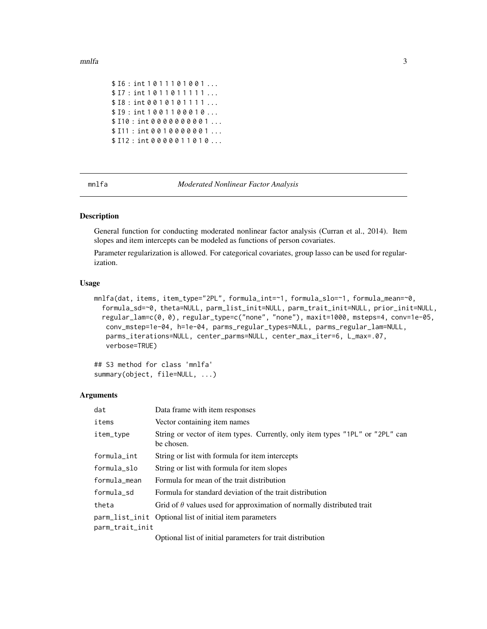#### <span id="page-2-0"></span>mnlfa 3

```
$ I6: int 1011101001...
$ I7 : int 10 1 1 0 1 1 1 1 1 1 ...
$ I8: int 0 0 1 0 1 0 1 1 1 1 ...
$ I9 : int 1 0 0 1 1 0 0 0 1 0 ...
$ I10 : int 0 0 0 0 0 0 0 0 0 1 ...
$ I11 : int 0 0 1 0 0 0 0 0 0 1 ...
$ I12 : int 0 0 0 0 0 1 1 0 1 0 ...
```
mnlfa *Moderated Nonlinear Factor Analysis*

#### Description

General function for conducting moderated nonlinear factor analysis (Curran et al., 2014). Item slopes and item intercepts can be modeled as functions of person covariates.

Parameter regularization is allowed. For categorical covariates, group lasso can be used for regularization.

#### Usage

```
mnlfa(dat, items, item_type="2PL", formula_int=~1, formula_slo=~1, formula_mean=~0,
  formula_sd=~0, theta=NULL, parm_list_init=NULL, parm_trait_init=NULL, prior_init=NULL,
  regular_lam=c(0, 0), regular_type=c("none", "none"), maxit=1000, msteps=4, conv=1e-05,
   conv_mstep=1e-04, h=1e-04, parms_regular_types=NULL, parms_regular_lam=NULL,
   parms_iterations=NULL, center_parms=NULL, center_max_iter=6, L_max=.07,
   verbose=TRUE)
```

```
## S3 method for class 'mnlfa'
summary(object, file=NULL, ...)
```
#### Arguments

| dat             | Data frame with item responses                                                              |
|-----------------|---------------------------------------------------------------------------------------------|
| items           | Vector containing item names                                                                |
| item_type       | String or vector of item types. Currently, only item types "1PL" or "2PL" can<br>be chosen. |
| formula_int     | String or list with formula for item intercepts                                             |
| formula_slo     | String or list with formula for item slopes                                                 |
| formula_mean    | Formula for mean of the trait distribution                                                  |
| formula sd      | Formula for standard deviation of the trait distribution                                    |
| theta           | Grid of $\theta$ values used for approximation of normally distributed trait                |
|                 | parm_list_init Optional list of initial item parameters                                     |
| parm_trait_init |                                                                                             |
|                 |                                                                                             |

Optional list of initial parameters for trait distribution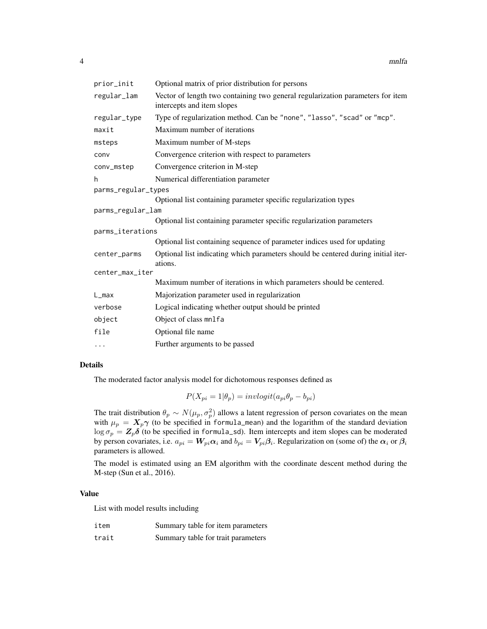| prior_init          | Optional matrix of prior distribution for persons                                                            |  |  |
|---------------------|--------------------------------------------------------------------------------------------------------------|--|--|
| regular_lam         | Vector of length two containing two general regularization parameters for item<br>intercepts and item slopes |  |  |
| regular_type        | Type of regularization method. Can be "none", "lasso", "scad" or "mcp".                                      |  |  |
| maxit               | Maximum number of iterations                                                                                 |  |  |
| msteps              | Maximum number of M-steps                                                                                    |  |  |
| conv                | Convergence criterion with respect to parameters                                                             |  |  |
| conv_mstep          | Convergence criterion in M-step                                                                              |  |  |
| h                   | Numerical differentiation parameter                                                                          |  |  |
| parms_regular_types |                                                                                                              |  |  |
|                     | Optional list containing parameter specific regularization types                                             |  |  |
| parms_regular_lam   |                                                                                                              |  |  |
|                     | Optional list containing parameter specific regularization parameters                                        |  |  |
| parms_iterations    |                                                                                                              |  |  |
|                     | Optional list containing sequence of parameter indices used for updating                                     |  |  |
| center_parms        | Optional list indicating which parameters should be centered during initial iter-<br>ations.                 |  |  |
| center_max_iter     |                                                                                                              |  |  |
|                     | Maximum number of iterations in which parameters should be centered.                                         |  |  |
| $L_{max}$           | Majorization parameter used in regularization                                                                |  |  |
| verbose             | Logical indicating whether output should be printed                                                          |  |  |
| object              | Object of class mnlfa                                                                                        |  |  |
| file                | Optional file name                                                                                           |  |  |
| $\cdots$            | Further arguments to be passed                                                                               |  |  |

#### Details

The moderated factor analysis model for dichotomous responses defined as

$$
P(X_{pi} = 1 | \theta_p) = invlogit(a_{pi} \theta_p - b_{pi})
$$

The trait distribution  $\theta_p \sim N(\mu_p, \sigma_p^2)$  allows a latent regression of person covariates on the mean with  $\mu_p = X_p \gamma$  (to be specified in formula\_mean) and the logarithm of the standard deviation  $\log \sigma_p = Z_p \delta$  (to be specified in formula\_sd). Item intercepts and item slopes can be moderated by person covariates, i.e.  $a_{pi} = W_{pi} \alpha_i$  and  $b_{pi} = V_{pi} \beta_i$ . Regularization on (some of) the  $\alpha_i$  or  $\beta_i$ parameters is allowed.

The model is estimated using an EM algorithm with the coordinate descent method during the M-step (Sun et al., 2016).

#### Value

List with model results including

| item  | Summary table for item parameters  |
|-------|------------------------------------|
| trait | Summary table for trait parameters |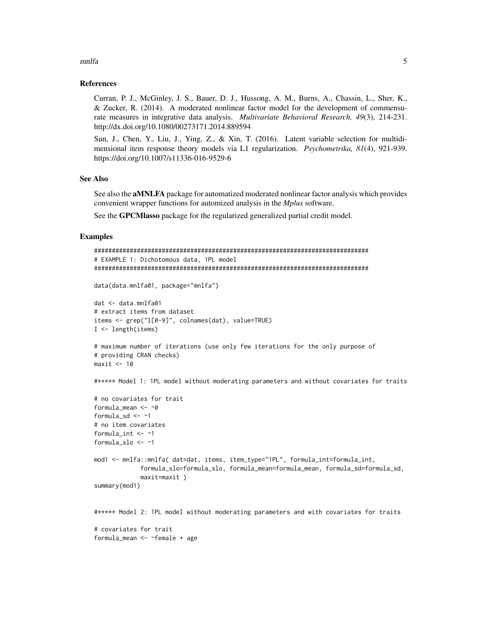#### mnlfa **5**

#### References

Curran, P. J., McGinley, J. S., Bauer, D. J., Hussong, A. M., Burns, A., Chassin, L., Sher, K., & Zucker, R. (2014). A moderated nonlinear factor model for the development of commensurate measures in integrative data analysis. *Multivariate Behavioral Research, 49*(3), 214-231. http://dx.doi.org/10.1080/00273171.2014.889594

Sun, J., Chen, Y., Liu, J., Ying, Z., & Xin, T. (2016). Latent variable selection for multidimensional item response theory models via L1 regularization. *Psychometrika, 81*(4), 921-939. https://doi.org/10.1007/s11336-016-9529-6

#### See Also

See also the aMNLFA package for automatized moderated nonlinear factor analysis which provides convenient wrapper functions for automized analysis in the *Mplus* software.

See the GPCMlasso package for the regularized generalized partial credit model.

#### Examples

formula\_mean <- ~female + age

```
#############################################################################
# EXAMPLE 1: Dichotomous data, 1PL model
#############################################################################
data(data.mnlfa01, package="mnlfa")
dat <- data.mnlfa01
# extract items from dataset
items <- grep("I[0-9]", colnames(dat), value=TRUE)
I <- length(items)
# maximum number of iterations (use only few iterations for the only purpose of
# providing CRAN checks)
maxit < -10#***** Model 1: 1PL model without moderating parameters and without covariates for traits
# no covariates for trait
formula_mean <- ~0
formula_sd \leftarrow ~1
# no item covariates
formula_int <- ~1
formula_slo <- ~1
mod1 <- mnlfa::mnlfa( dat=dat, items, item_type="1PL", formula_int=formula_int,
             formula_slo=formula_slo, formula_mean=formula_mean, formula_sd=formula_sd,
             maxit=maxit )
summary(mod1)
#***** Model 2: 1PL model without moderating parameters and with covariates for traits
# covariates for trait
```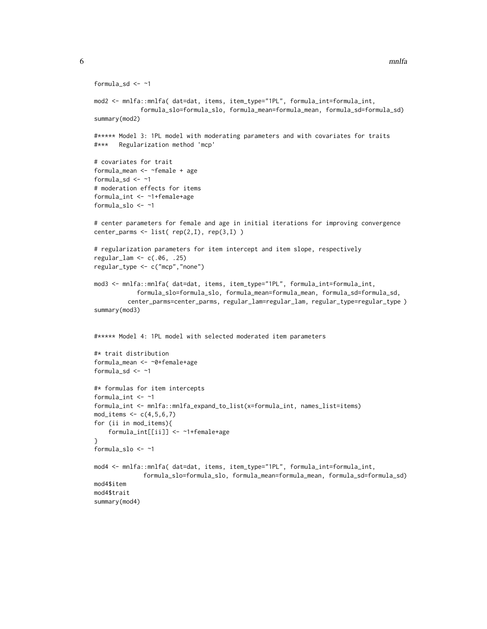```
formula_sd <- ~1
mod2 <- mnlfa::mnlfa( dat=dat, items, item_type="1PL", formula_int=formula_int,
             formula_slo=formula_slo, formula_mean=formula_mean, formula_sd=formula_sd)
summary(mod2)
#***** Model 3: 1PL model with moderating parameters and with covariates for traits
#*** Regularization method 'mcp'
# covariates for trait
formula_mean <- ~female + age
formula_sd \leftarrow ~1
# moderation effects for items
formula_int <- ~1+female+age
formula_slo <- ~1
# center parameters for female and age in initial iterations for improving convergence
center_parms <- list( rep(2,I), rep(3,I) )
# regularization parameters for item intercept and item slope, respectively
regular_lam <- c(.06, .25)
regular_type <- c("mcp","none")
mod3 <- mnlfa::mnlfa( dat=dat, items, item_type="1PL", formula_int=formula_int,
            formula_slo=formula_slo, formula_mean=formula_mean, formula_sd=formula_sd,
         center_parms=center_parms, regular_lam=regular_lam, regular_type=regular_type )
summary(mod3)
#***** Model 4: 1PL model with selected moderated item parameters
#* trait distribution
formula_mean <- ~0+female+age
formula_sd <- ~1
#* formulas for item intercepts
formula_int <- ~1
formula_int <- mnlfa::mnlfa_expand_to_list(x=formula_int, names_list=items)
mod\_items \leftarrow c(4,5,6,7)for (ii in mod_items){
    formula_int[[ii]] <- ~1+female+age
}
formula_slo <- ~1
mod4 <- mnlfa::mnlfa( dat=dat, items, item_type="1PL", formula_int=formula_int,
              formula_slo=formula_slo, formula_mean=formula_mean, formula_sd=formula_sd)
mod4$item
mod4$trait
summary(mod4)
```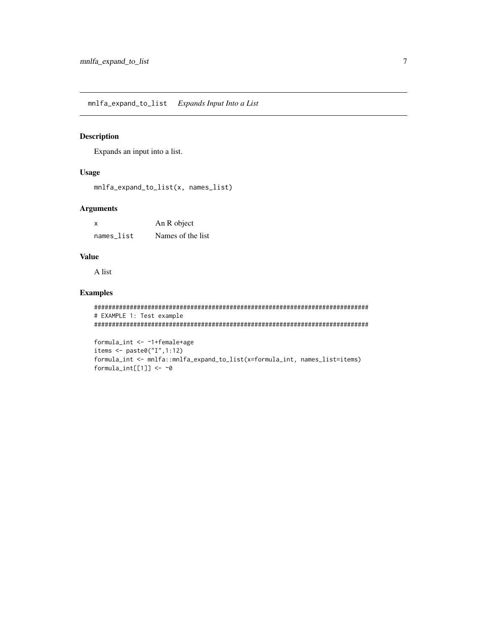<span id="page-6-0"></span>mnlfa\_expand\_to\_list *Expands Input Into a List*

#### Description

Expands an input into a list.

#### Usage

mnlfa\_expand\_to\_list(x, names\_list)

#### Arguments

| X          | An R object       |  |
|------------|-------------------|--|
| names_list | Names of the list |  |

#### Value

A list

#### Examples

```
#############################################################################
# EXAMPLE 1: Test example
#############################################################################
```

```
formula_int <- ~1+female+age
items <- paste0("I",1:12)
formula_int <- mnlfa::mnlfa_expand_to_list(x=formula_int, names_list=items)
formula_int[[1]] \leftarrow ~0
```